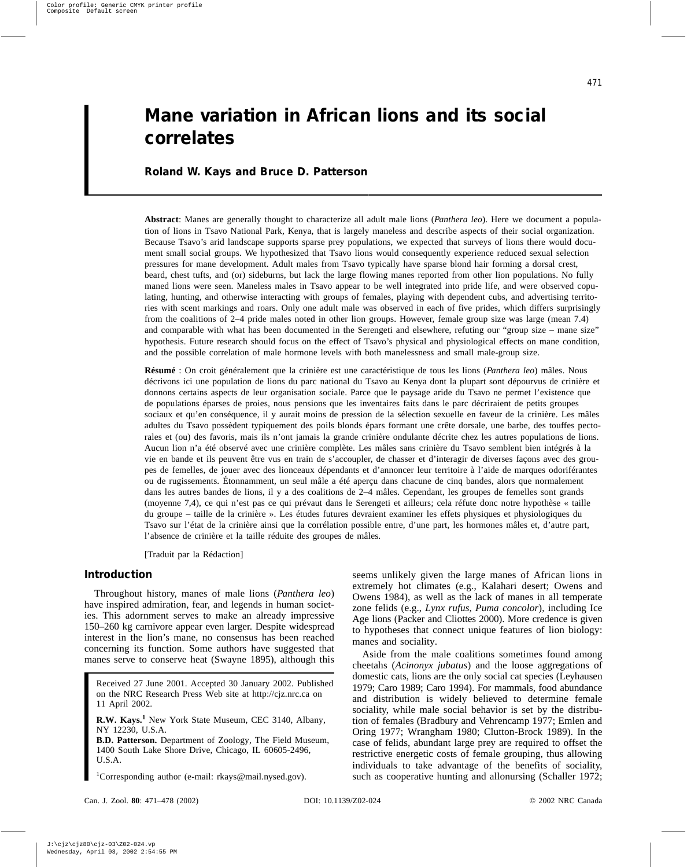# **Mane variation in African lions and its social correlates**

# **Roland W. Kays and Bruce D. Patterson**

**Abstract**: Manes are generally thought to characterize all adult male lions (*Panthera leo*). Here we document a population of lions in Tsavo National Park, Kenya, that is largely maneless and describe aspects of their social organization. Because Tsavo's arid landscape supports sparse prey populations, we expected that surveys of lions there would document small social groups. We hypothesized that Tsavo lions would consequently experience reduced sexual selection pressures for mane development. Adult males from Tsavo typically have sparse blond hair forming a dorsal crest, beard, chest tufts, and (or) sideburns, but lack the large flowing manes reported from other lion populations. No fully maned lions were seen. Maneless males in Tsavo appear to be well integrated into pride life, and were observed copulating, hunting, and otherwise interacting with groups of females, playing with dependent cubs, and advertising territories with scent markings and roars. Only one adult male was observed in each of five prides, which differs surprisingly from the coalitions of 2–4 pride males noted in other lion groups. However, female group size was large (mean 7.4) and comparable with what has been documented in the Serengeti and elsewhere, refuting our "group size – mane size" hypothesis. Future research should focus on the effect of Tsavo's physical and physiological effects on mane condition, and the possible correlation of male hormone levels with both manelessness and small male-group size.

**Résumé** : On croit généralement que la crinière est une caractéristique de tous les lions (*Panthera leo*) mâles. Nous décrivons ici une population de lions du parc national du Tsavo au Kenya dont la plupart sont dépourvus de crinière et donnons certains aspects de leur organisation sociale. Parce que le paysage aride du Tsavo ne permet l'existence que de populations éparses de proies, nous pensions que les inventaires faits dans le parc décriraient de petits groupes sociaux et qu'en conséquence, il y aurait moins de pression de la sélection sexuelle en faveur de la crinière. Les mâles adultes du Tsavo possèdent typiquement des poils blonds épars formant une crête dorsale, une barbe, des touffes pectorales et (ou) des favoris, mais ils n'ont jamais la grande crinière ondulante décrite chez les autres populations de lions. Aucun lion n'a été observé avec une crinière complète. Les mâles sans crinière du Tsavo semblent bien intégrés à la vie en bande et ils peuvent être vus en train de s'accoupler, de chasser et d'interagir de diverses façons avec des groupes de femelles, de jouer avec des lionceaux dépendants et d'annoncer leur territoire à l'aide de marques odoriférantes ou de rugissements. Étonnamment, un seul mâle a été aperçu dans chacune de cinq bandes, alors que normalement dans les autres bandes de lions, il y a des coalitions de 2–4 mâles. Cependant, les groupes de femelles sont grands (moyenne 7,4), ce qui n'est pas ce qui prévaut dans le Serengeti et ailleurs; cela réfute donc notre hypothèse « taille du groupe – taille de la crinière ». Les études futures devraient examiner les effets physiques et physiologiques du Tsavo sur l'état de la crinière ainsi que la corrélation possible entre, d'une part, les hormones mâles et, d'autre part, l'absence de crinière et la taille réduite des groupes de mâles.

[Traduit par la Rédaction]

# **Introduction**

Throughout history, manes of male lions (*Panthera leo*) have inspired admiration, fear, and legends in human societies. This adornment serves to make an already impressive 150–260 kg carnivore appear even larger. Despite widespread interest in the lion's mane, no consensus has been reached concerning its function. Some authors have suggested that manes serve to conserve heat (Swayne 1895), although this

Received 27 June 2001. Accepted 30 January 2002. Published on the NRC Research Press Web site at http://cjz.nrc.ca on 11 April 2002.

**R.W. Kays.<sup>1</sup>** New York State Museum, CEC 3140, Albany, NY 12230, U.S.A.

**B.D. Patterson.** Department of Zoology, The Field Museum, 1400 South Lake Shore Drive, Chicago, IL 60605-2496, U.S.A.

1 Corresponding author (e-mail: rkays@mail.nysed.gov).

seems unlikely given the large manes of African lions in extremely hot climates (e.g., Kalahari desert; Owens and Owens 1984), as well as the lack of manes in all temperate zone felids (e.g., *Lynx rufus*, *Puma concolor*), including Ice Age lions (Packer and Cliottes 2000). More credence is given to hypotheses that connect unique features of lion biology: manes and sociality.

Aside from the male coalitions sometimes found among cheetahs (*Acinonyx jubatus*) and the loose aggregations of domestic cats, lions are the only social cat species (Leyhausen 1979; Caro 1989; Caro 1994). For mammals, food abundance and distribution is widely believed to determine female sociality, while male social behavior is set by the distribution of females (Bradbury and Vehrencamp 1977; Emlen and Oring 1977; Wrangham 1980; Clutton-Brock 1989). In the case of felids, abundant large prey are required to offset the restrictive energetic costs of female grouping, thus allowing individuals to take advantage of the benefits of sociality, such as cooperative hunting and allonursing (Schaller 1972;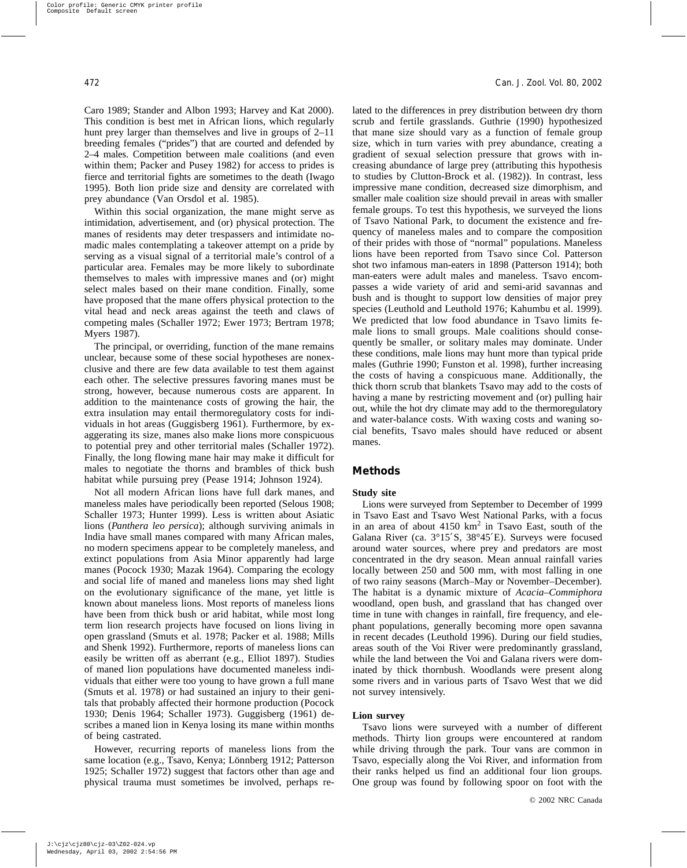Caro 1989; Stander and Albon 1993; Harvey and Kat 2000). This condition is best met in African lions, which regularly hunt prey larger than themselves and live in groups of 2–11 breeding females ("prides") that are courted and defended by 2–4 males. Competition between male coalitions (and even within them; Packer and Pusey 1982) for access to prides is fierce and territorial fights are sometimes to the death (Iwago 1995). Both lion pride size and density are correlated with prey abundance (Van Orsdol et al. 1985).

Within this social organization, the mane might serve as intimidation, advertisement, and (or) physical protection. The manes of residents may deter trespassers and intimidate nomadic males contemplating a takeover attempt on a pride by serving as a visual signal of a territorial male's control of a particular area. Females may be more likely to subordinate themselves to males with impressive manes and (or) might select males based on their mane condition. Finally, some have proposed that the mane offers physical protection to the vital head and neck areas against the teeth and claws of competing males (Schaller 1972; Ewer 1973; Bertram 1978; Myers 1987).

The principal, or overriding, function of the mane remains unclear, because some of these social hypotheses are nonexclusive and there are few data available to test them against each other. The selective pressures favoring manes must be strong, however, because numerous costs are apparent. In addition to the maintenance costs of growing the hair, the extra insulation may entail thermoregulatory costs for individuals in hot areas (Guggisberg 1961). Furthermore, by exaggerating its size, manes also make lions more conspicuous to potential prey and other territorial males (Schaller 1972). Finally, the long flowing mane hair may make it difficult for males to negotiate the thorns and brambles of thick bush habitat while pursuing prey (Pease 1914; Johnson 1924).

Not all modern African lions have full dark manes, and maneless males have periodically been reported (Selous 1908; Schaller 1973; Hunter 1999). Less is written about Asiatic lions (*Panthera leo persica*); although surviving animals in India have small manes compared with many African males, no modern specimens appear to be completely maneless, and extinct populations from Asia Minor apparently had large manes (Pocock 1930; Mazak 1964). Comparing the ecology and social life of maned and maneless lions may shed light on the evolutionary significance of the mane, yet little is known about maneless lions. Most reports of maneless lions have been from thick bush or arid habitat, while most long term lion research projects have focused on lions living in open grassland (Smuts et al. 1978; Packer et al. 1988; Mills and Shenk 1992). Furthermore, reports of maneless lions can easily be written off as aberrant (e.g., Elliot 1897). Studies of maned lion populations have documented maneless individuals that either were too young to have grown a full mane (Smuts et al. 1978) or had sustained an injury to their genitals that probably affected their hormone production (Pocock 1930; Denis 1964; Schaller 1973). Guggisberg (1961) describes a maned lion in Kenya losing its mane within months of being castrated.

However, recurring reports of maneless lions from the same location (e.g., Tsavo, Kenya; Lönnberg 1912; Patterson 1925; Schaller 1972) suggest that factors other than age and physical trauma must sometimes be involved, perhaps related to the differences in prey distribution between dry thorn scrub and fertile grasslands. Guthrie (1990) hypothesized that mane size should vary as a function of female group size, which in turn varies with prey abundance, creating a gradient of sexual selection pressure that grows with increasing abundance of large prey (attributing this hypothesis to studies by Clutton-Brock et al. (1982)). In contrast, less impressive mane condition, decreased size dimorphism, and smaller male coalition size should prevail in areas with smaller female groups. To test this hypothesis, we surveyed the lions of Tsavo National Park, to document the existence and frequency of maneless males and to compare the composition of their prides with those of "normal" populations. Maneless lions have been reported from Tsavo since Col. Patterson shot two infamous man-eaters in 1898 (Patterson 1914); both man-eaters were adult males and maneless. Tsavo encompasses a wide variety of arid and semi-arid savannas and bush and is thought to support low densities of major prey species (Leuthold and Leuthold 1976; Kahumbu et al. 1999). We predicted that low food abundance in Tsavo limits female lions to small groups. Male coalitions should consequently be smaller, or solitary males may dominate. Under these conditions, male lions may hunt more than typical pride males (Guthrie 1990; Funston et al. 1998), further increasing the costs of having a conspicuous mane. Additionally, the thick thorn scrub that blankets Tsavo may add to the costs of having a mane by restricting movement and (or) pulling hair out, while the hot dry climate may add to the thermoregulatory and water-balance costs. With waxing costs and waning social benefits, Tsavo males should have reduced or absent manes.

## **Methods**

## **Study site**

Lions were surveyed from September to December of 1999 in Tsavo East and Tsavo West National Parks, with a focus in an area of about  $4150 \text{ km}^2$  in Tsavo East, south of the Galana River (ca. 3°15′S, 38°45′E). Surveys were focused around water sources, where prey and predators are most concentrated in the dry season. Mean annual rainfall varies locally between 250 and 500 mm, with most falling in one of two rainy seasons (March–May or November–December). The habitat is a dynamic mixture of *Acacia–Commiphora* woodland, open bush, and grassland that has changed over time in tune with changes in rainfall, fire frequency, and elephant populations, generally becoming more open savanna in recent decades (Leuthold 1996). During our field studies, areas south of the Voi River were predominantly grassland, while the land between the Voi and Galana rivers were dominated by thick thornbush. Woodlands were present along some rivers and in various parts of Tsavo West that we did not survey intensively.

#### **Lion survey**

Tsavo lions were surveyed with a number of different methods. Thirty lion groups were encountered at random while driving through the park. Tour vans are common in Tsavo, especially along the Voi River, and information from their ranks helped us find an additional four lion groups. One group was found by following spoor on foot with the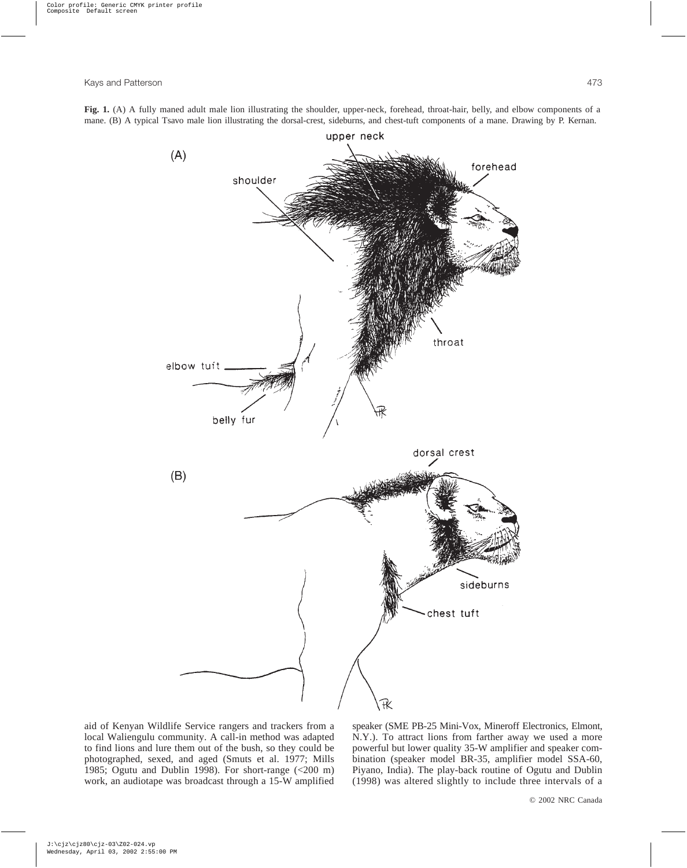

aid of Kenyan Wildlife Service rangers and trackers from a local Waliengulu community. A call-in method was adapted to find lions and lure them out of the bush, so they could be photographed, sexed, and aged (Smuts et al. 1977; Mills 1985; Ogutu and Dublin 1998). For short-range  $\langle$  <200 m) work, an audiotape was broadcast through a 15-W amplified speaker (SME PB-25 Mini-Vox, Mineroff Electronics, Elmont, N.Y.). To attract lions from farther away we used a more powerful but lower quality 35-W amplifier and speaker combination (speaker model BR-35, amplifier model SSA-60, Piyano, India). The play-back routine of Ogutu and Dublin (1998) was altered slightly to include three intervals of a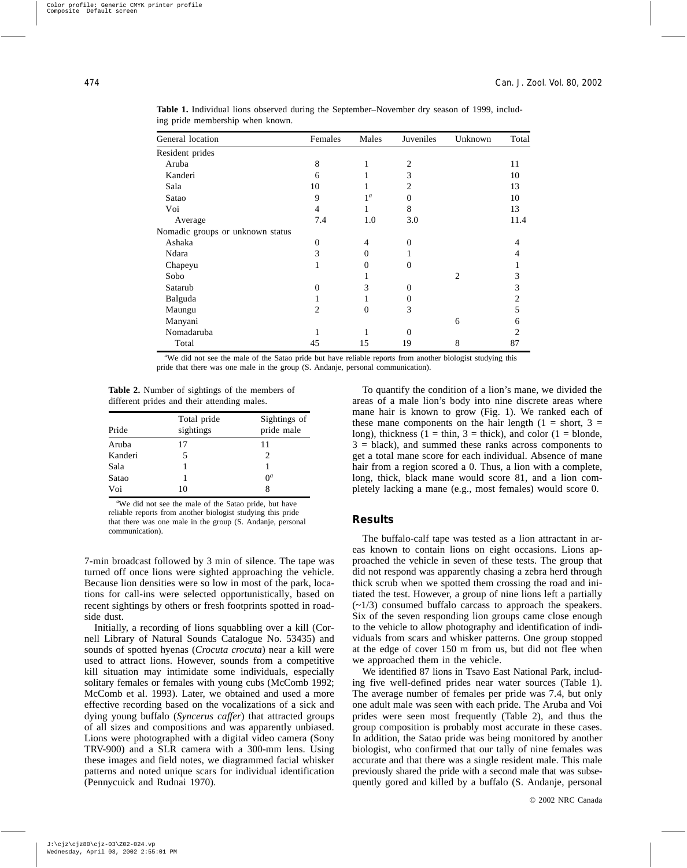| General location                 | Females      | Males          | Juveniles      | Unknown        | Total |
|----------------------------------|--------------|----------------|----------------|----------------|-------|
| Resident prides                  |              |                |                |                |       |
| Aruba                            | 8            |                | 2              |                | 11    |
| Kanderi                          | 6            |                | 3              |                | 10    |
| Sala                             | 10           |                | $\overline{c}$ |                | 13    |
| Satao                            | 9            | 1 <sup>a</sup> | $\overline{0}$ |                | 10    |
| Voi                              | 4            |                | 8              |                | 13    |
| Average                          | 7.4          | 1.0            | 3.0            |                | 11.4  |
| Nomadic groups or unknown status |              |                |                |                |       |
| Ashaka                           | $\mathbf{0}$ | 4              | $\overline{0}$ |                |       |
| Ndara                            | 3            | $\Omega$       | 1              |                |       |
| Chapeyu                          |              | $\Omega$       | $\overline{0}$ |                |       |
| Sobo                             |              |                |                | $\overline{c}$ |       |
| Satarub                          | 0            | 3              | 0              |                | 3     |
| Balguda                          |              |                | 0              |                | 2     |
| Maungu                           | 2            | $\Omega$       | 3              |                | 5     |
| Manyani                          |              |                |                | 6              | 6     |
| Nomadaruba                       |              |                | $\Omega$       |                | 2     |
| Total                            | 45           | 15             | 19             | 8              | 87    |

**Table 1.** Individual lions observed during the September–November dry season of 1999, including pride membership when known.

<sup>a</sup>We did not see the male of the Satao pride but have reliable reports from another biologist studying this pride that there was one male in the group (S. Andanje, personal communication).

**Table 2.** Number of sightings of the members of different prides and their attending males.

| Pride   | Total pride<br>sightings | Sightings of<br>pride male |
|---------|--------------------------|----------------------------|
| Aruba   | 17                       | 11                         |
| Kanderi | 5                        | 2                          |
| Sala    |                          |                            |
| Satao   |                          | $\Omega^a$                 |
| Voi     | 10                       | 8                          |

*a* We did not see the male of the Satao pride, but have reliable reports from another biologist studying this pride that there was one male in the group (S. Andanje, personal communication).

7-min broadcast followed by 3 min of silence. The tape was turned off once lions were sighted approaching the vehicle. Because lion densities were so low in most of the park, locations for call-ins were selected opportunistically, based on recent sightings by others or fresh footprints spotted in roadside dust.

Initially, a recording of lions squabbling over a kill (Cornell Library of Natural Sounds Catalogue No. 53435) and sounds of spotted hyenas (*Crocuta crocuta*) near a kill were used to attract lions. However, sounds from a competitive kill situation may intimidate some individuals, especially solitary females or females with young cubs (McComb 1992; McComb et al. 1993). Later, we obtained and used a more effective recording based on the vocalizations of a sick and dying young buffalo (*Syncerus caffer*) that attracted groups of all sizes and compositions and was apparently unbiased. Lions were photographed with a digital video camera (Sony TRV-900) and a SLR camera with a 300-mm lens. Using these images and field notes, we diagrammed facial whisker patterns and noted unique scars for individual identification (Pennycuick and Rudnai 1970).

To quantify the condition of a lion's mane, we divided the areas of a male lion's body into nine discrete areas where mane hair is known to grow (Fig. 1). We ranked each of these mane components on the hair length (1 = short, 3 = long), thickness (1 = thin, 3 = thick), and color (1 = blonde,  $3 = black$ ), and summed these ranks across components to get a total mane score for each individual. Absence of mane hair from a region scored a 0. Thus, a lion with a complete, long, thick, black mane would score 81, and a lion completely lacking a mane (e.g., most females) would score 0.

# **Results**

The buffalo-calf tape was tested as a lion attractant in areas known to contain lions on eight occasions. Lions approached the vehicle in seven of these tests. The group that did not respond was apparently chasing a zebra herd through thick scrub when we spotted them crossing the road and initiated the test. However, a group of nine lions left a partially  $(\sim 1/3)$  consumed buffalo carcass to approach the speakers. Six of the seven responding lion groups came close enough to the vehicle to allow photography and identification of individuals from scars and whisker patterns. One group stopped at the edge of cover 150 m from us, but did not flee when we approached them in the vehicle.

We identified 87 lions in Tsavo East National Park, including five well-defined prides near water sources (Table 1). The average number of females per pride was 7.4, but only one adult male was seen with each pride. The Aruba and Voi prides were seen most frequently (Table 2), and thus the group composition is probably most accurate in these cases. In addition, the Satao pride was being monitored by another biologist, who confirmed that our tally of nine females was accurate and that there was a single resident male. This male previously shared the pride with a second male that was subsequently gored and killed by a buffalo (S. Andanje, personal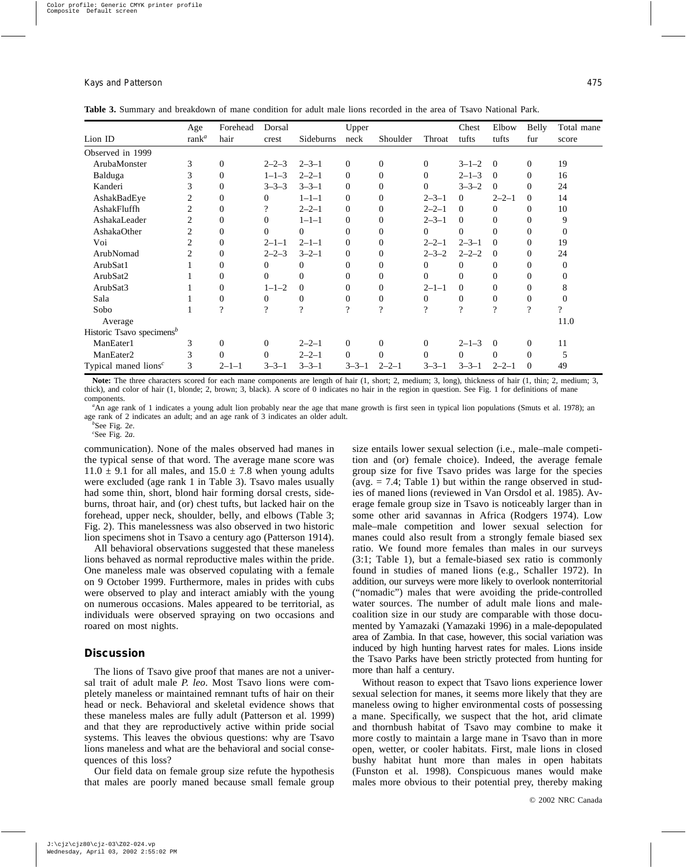|                                       | Age               | Forehead     | Dorsal                   |                          | Upper        |                    |             | Chest              | Elbow       | Belly              | Total mane |
|---------------------------------------|-------------------|--------------|--------------------------|--------------------------|--------------|--------------------|-------------|--------------------|-------------|--------------------|------------|
| Lion ID                               | rank <sup>a</sup> | hair         | crest                    | Sideburns                | neck         | Shoulder           | Throat      | tufts              | tufts       | fur                | score      |
| Observed in 1999                      |                   |              |                          |                          |              |                    |             |                    |             |                    |            |
| ArubaMonster                          | 3                 | $\mathbf{0}$ | $2 - 2 - 3$              | $2 - 3 - 1$              | $\mathbf{0}$ | $\theta$           | $\theta$    | $3 - 1 - 2$        | $\theta$    | $\mathbf{0}$       | 19         |
| Balduga                               | 3                 | $\Omega$     | $1 - 1 - 3$              | $2 - 2 - 1$              | $\Omega$     | $\Omega$           | $\Omega$    | $2 - 1 - 3$        | $\Omega$    | $\Omega$           | 16         |
| Kanderi                               | 3                 | $\Omega$     | $3 - 3 - 3$              | $3 - 3 - 1$              | $\Omega$     | $\Omega$           | $\Omega$    | $3 - 3 - 2$        | $\Omega$    | $\theta$           | 24         |
| AshakBadEye                           | $\overline{c}$    | $\Omega$     | $\mathbf{0}$             | $1 - 1 - 1$              | $\Omega$     | $\Omega$           | $2 - 3 - 1$ | $\Omega$           | $2 - 2 - 1$ | $\Omega$           | 14         |
| AshakFluffh                           | $\overline{c}$    | $\Omega$     | $\overline{\mathcal{L}}$ | $2 - 2 - 1$              | $\Omega$     | $\Omega$           | $2 - 2 - 1$ | $\Omega$           | $\Omega$    | $\theta$           | 10         |
| AshakaLeader                          | 2                 | $\Omega$     | $\mathbf{0}$             | $1 - 1 - 1$              | $\Omega$     | $\theta$           | $2 - 3 - 1$ | $\Omega$           | $\Omega$    | $\Omega$           | 9          |
| AshakaOther                           | 2                 | $\Omega$     | $\theta$                 | $\Omega$                 | $\Omega$     | $\Omega$           | $\Omega$    | $\Omega$           | $\theta$    | $\Omega$           | $\Omega$   |
| Voi                                   | $\overline{c}$    | $\theta$     | $2 - 1 - 1$              | $2 - 1 - 1$              | $\Omega$     | $\theta$           | $2 - 2 - 1$ | $2 - 3 - 1$        | $\Omega$    | $\Omega$           | 19         |
| ArubNomad                             | $\overline{c}$    | $\Omega$     | $2 - 2 - 3$              | $3 - 2 - 1$              | $\Omega$     | $\Omega$           | $2 - 3 - 2$ | $2 - 2 - 2$        | $\Omega$    | $\overline{0}$     | 24         |
| ArubSat1                              |                   | $\Omega$     | 0                        | $\Omega$                 | $\Omega$     | $\theta$           | $\theta$    | $\theta$           | $\Omega$    | 0                  | $\theta$   |
| ArubSat2                              |                   | $\Omega$     | $\theta$                 | $\Omega$                 | $\Omega$     | $\Omega$           | $\Omega$    | $\Omega$           | $\Omega$    | $\Omega$           | $\Omega$   |
| ArubSat3                              |                   | $\Omega$     | $1 - 1 - 2$              | $\Omega$                 | 0            | $\theta$           | $2 - 1 - 1$ | $\Omega$           | $\Omega$    | 0                  | 8          |
| Sala                                  |                   | $\Omega$     | $\mathbf{0}$             | $\Omega$                 | $\Omega$     | $\Omega$           | $\Omega$    | $\theta$           | $\Omega$    | $\overline{0}$     | $\Omega$   |
| Sobo                                  |                   | $\gamma$     | $\overline{\cdot}$       | $\overline{\mathcal{L}}$ | $\gamma$     | $\overline{\cdot}$ | $\gamma$    | $\overline{\cdot}$ | $\gamma$    | $\overline{\cdot}$ | ?          |
| Average                               |                   |              |                          |                          |              |                    |             |                    |             |                    | 11.0       |
| Historic Tsavo specimens <sup>b</sup> |                   |              |                          |                          |              |                    |             |                    |             |                    |            |
| ManEater1                             | 3                 | $\Omega$     | $\theta$                 | $2 - 2 - 1$              | $\Omega$     | $\Omega$           | $\theta$    | $2 - 1 - 3$        | $\Omega$    | 0                  | 11         |
| ManEater2                             | 3                 | $\theta$     | $\theta$                 | $2 - 2 - 1$              | $\Omega$     | $\theta$           | $\Omega$    | $\Omega$           | $\Omega$    | 0                  | 5          |

**Table 3.** Summary and breakdown of mane condition for adult male lions recorded in the area of Tsavo National Park.

Note: The three characters scored for each mane components are length of hair (1, short; 2, medium; 3, long), thickness of hair (1, thin; 2, medium; 3, thick), and color of hair (1, blonde; 2, brown; 3, black). A score of 0 indicates no hair in the region in question. See Fig. 1 for definitions of mane components.

Typical maned lions*<sup>c</sup>* 3 2–1–1 3–3–1 3–3–1 3–3–1 2–2–1 3–3–1 3–3–1 2–2–1 0 49

<sup>a</sup>An age rank of 1 indicates a young adult lion probably near the age that mane growth is first seen in typical lion populations (Smuts et al. 1978); an age rank of 2 indicates an adult; and an age rank of 3 indicates an older adult.

*b* See Fig. 2*e*.

*c* See Fig. 2*a*.

communication). None of the males observed had manes in the typical sense of that word. The average mane score was  $11.0 \pm 9.1$  for all males, and  $15.0 \pm 7.8$  when young adults were excluded (age rank 1 in Table 3). Tsavo males usually had some thin, short, blond hair forming dorsal crests, sideburns, throat hair, and (or) chest tufts, but lacked hair on the forehead, upper neck, shoulder, belly, and elbows (Table 3; Fig. 2). This manelessness was also observed in two historic lion specimens shot in Tsavo a century ago (Patterson 1914).

All behavioral observations suggested that these maneless lions behaved as normal reproductive males within the pride. One maneless male was observed copulating with a female on 9 October 1999. Furthermore, males in prides with cubs were observed to play and interact amiably with the young on numerous occasions. Males appeared to be territorial, as individuals were observed spraying on two occasions and roared on most nights.

## **Discussion**

The lions of Tsavo give proof that manes are not a universal trait of adult male *P. leo*. Most Tsavo lions were completely maneless or maintained remnant tufts of hair on their head or neck. Behavioral and skeletal evidence shows that these maneless males are fully adult (Patterson et al. 1999) and that they are reproductively active within pride social systems. This leaves the obvious questions: why are Tsavo lions maneless and what are the behavioral and social consequences of this loss?

Our field data on female group size refute the hypothesis that males are poorly maned because small female group size entails lower sexual selection (i.e., male–male competition and (or) female choice). Indeed, the average female group size for five Tsavo prides was large for the species (avg.  $= 7.4$ ; Table 1) but within the range observed in studies of maned lions (reviewed in Van Orsdol et al. 1985). Average female group size in Tsavo is noticeably larger than in some other arid savannas in Africa (Rodgers 1974). Low male–male competition and lower sexual selection for manes could also result from a strongly female biased sex ratio. We found more females than males in our surveys (3:1; Table 1), but a female-biased sex ratio is commonly found in studies of maned lions (e.g., Schaller 1972). In addition, our surveys were more likely to overlook nonterritorial ("nomadic") males that were avoiding the pride-controlled water sources. The number of adult male lions and malecoalition size in our study are comparable with those documented by Yamazaki (Yamazaki 1996) in a male-depopulated area of Zambia. In that case, however, this social variation was induced by high hunting harvest rates for males. Lions inside the Tsavo Parks have been strictly protected from hunting for more than half a century.

Without reason to expect that Tsavo lions experience lower sexual selection for manes, it seems more likely that they are maneless owing to higher environmental costs of possessing a mane. Specifically, we suspect that the hot, arid climate and thornbush habitat of Tsavo may combine to make it more costly to maintain a large mane in Tsavo than in more open, wetter, or cooler habitats. First, male lions in closed bushy habitat hunt more than males in open habitats (Funston et al. 1998). Conspicuous manes would make males more obvious to their potential prey, thereby making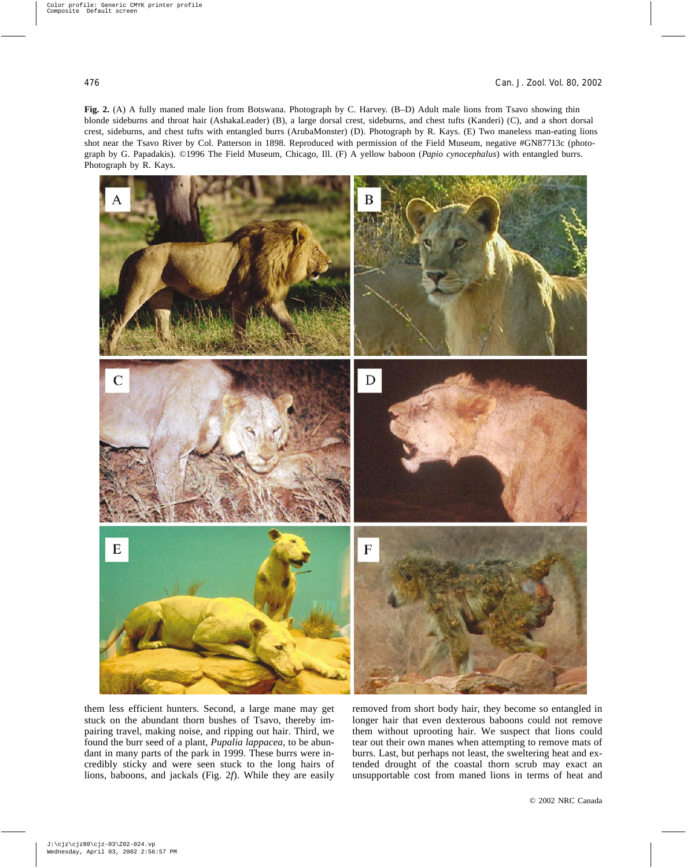**Fig. 2.** (A) A fully maned male lion from Botswana. Photograph by C. Harvey. (B–D) Adult male lions from Tsavo showing thin blonde sideburns and throat hair (AshakaLeader) (B), a large dorsal crest, sideburns, and chest tufts (Kanderi) (C), and a short dorsal crest, sideburns, and chest tufts with entangled burrs (ArubaMonster) (D). Photograph by R. Kays. (E) Two maneless man-eating lions shot near the Tsavo River by Col. Patterson in 1898. Reproduced with permission of the Field Museum, negative #GN87713c (photograph by G. Papadakis). ©1996 The Field Museum, Chicago, Ill. (F) A yellow baboon (*Papio cynocephalus*) with entangled burrs. Photograph by R. Kays.



them less efficient hunters. Second, a large mane may get stuck on the abundant thorn bushes of Tsavo, thereby impairing travel, making noise, and ripping out hair. Third, we found the burr seed of a plant, *Pupalia lappacea*, to be abundant in many parts of the park in 1999. These burrs were incredibly sticky and were seen stuck to the long hairs of lions, baboons, and jackals (Fig. 2*f*). While they are easily removed from short body hair, they become so entangled in longer hair that even dexterous baboons could not remove them without uprooting hair. We suspect that lions could tear out their own manes when attempting to remove mats of burrs. Last, but perhaps not least, the sweltering heat and extended drought of the coastal thorn scrub may exact an unsupportable cost from maned lions in terms of heat and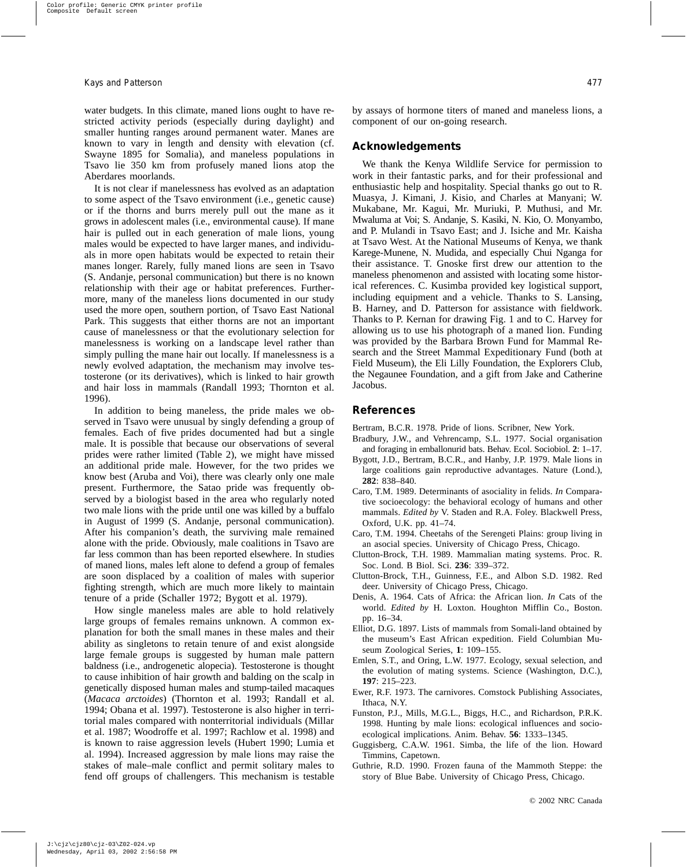water budgets. In this climate, maned lions ought to have restricted activity periods (especially during daylight) and smaller hunting ranges around permanent water. Manes are known to vary in length and density with elevation (cf. Swayne 1895 for Somalia), and maneless populations in Tsavo lie 350 km from profusely maned lions atop the Aberdares moorlands.

It is not clear if manelessness has evolved as an adaptation to some aspect of the Tsavo environment (i.e., genetic cause) or if the thorns and burrs merely pull out the mane as it grows in adolescent males (i.e., environmental cause). If mane hair is pulled out in each generation of male lions, young males would be expected to have larger manes, and individuals in more open habitats would be expected to retain their manes longer. Rarely, fully maned lions are seen in Tsavo (S. Andanje, personal communication) but there is no known relationship with their age or habitat preferences. Furthermore, many of the maneless lions documented in our study used the more open, southern portion, of Tsavo East National Park. This suggests that either thorns are not an important cause of manelessness or that the evolutionary selection for manelessness is working on a landscape level rather than simply pulling the mane hair out locally. If manelessness is a newly evolved adaptation, the mechanism may involve testosterone (or its derivatives), which is linked to hair growth and hair loss in mammals (Randall 1993; Thornton et al. 1996).

In addition to being maneless, the pride males we observed in Tsavo were unusual by singly defending a group of females. Each of five prides documented had but a single male. It is possible that because our observations of several prides were rather limited (Table 2), we might have missed an additional pride male. However, for the two prides we know best (Aruba and Voi), there was clearly only one male present. Furthermore, the Satao pride was frequently observed by a biologist based in the area who regularly noted two male lions with the pride until one was killed by a buffalo in August of 1999 (S. Andanje, personal communication). After his companion's death, the surviving male remained alone with the pride. Obviously, male coalitions in Tsavo are far less common than has been reported elsewhere. In studies of maned lions, males left alone to defend a group of females are soon displaced by a coalition of males with superior fighting strength, which are much more likely to maintain tenure of a pride (Schaller 1972; Bygott et al. 1979).

How single maneless males are able to hold relatively large groups of females remains unknown. A common explanation for both the small manes in these males and their ability as singletons to retain tenure of and exist alongside large female groups is suggested by human male pattern baldness (i.e., androgenetic alopecia). Testosterone is thought to cause inhibition of hair growth and balding on the scalp in genetically disposed human males and stump-tailed macaques (*Macaca arctoides*) (Thornton et al. 1993; Randall et al. 1994; Obana et al. 1997). Testosterone is also higher in territorial males compared with nonterritorial individuals (Millar et al. 1987; Woodroffe et al. 1997; Rachlow et al. 1998) and is known to raise aggression levels (Hubert 1990; Lumia et al. 1994). Increased aggression by male lions may raise the stakes of male–male conflict and permit solitary males to fend off groups of challengers. This mechanism is testable by assays of hormone titers of maned and maneless lions, a component of our on-going research.

## **Acknowledgements**

We thank the Kenya Wildlife Service for permission to work in their fantastic parks, and for their professional and enthusiastic help and hospitality. Special thanks go out to R. Muasya, J. Kimani, J. Kisio, and Charles at Manyani; W. Mukabane, Mr. Kagui, Mr. Muriuki, P. Muthusi, and Mr. Mwaluma at Voi; S. Andanje, S. Kasiki, N. Kio, O. Monyambo, and P. Mulandi in Tsavo East; and J. Isiche and Mr. Kaisha at Tsavo West. At the National Museums of Kenya, we thank Karege-Munene, N. Mudida, and especially Chui Nganga for their assistance. T. Gnoske first drew our attention to the maneless phenomenon and assisted with locating some historical references. C. Kusimba provided key logistical support, including equipment and a vehicle. Thanks to S. Lansing, B. Harney, and D. Patterson for assistance with fieldwork. Thanks to P. Kernan for drawing Fig. 1 and to C. Harvey for allowing us to use his photograph of a maned lion. Funding was provided by the Barbara Brown Fund for Mammal Research and the Street Mammal Expeditionary Fund (both at Field Museum), the Eli Lilly Foundation, the Explorers Club, the Negaunee Foundation, and a gift from Jake and Catherine Jacobus.

## **References**

Bertram, B.C.R. 1978. Pride of lions. Scribner, New York.

- Bradbury, J.W., and Vehrencamp, S.L. 1977. Social organisation and foraging in emballonurid bats. Behav. Ecol. Sociobiol. **2**: 1–17.
- Bygott, J.D., Bertram, B.C.R., and Hanby, J.P. 1979. Male lions in large coalitions gain reproductive advantages. Nature (Lond.), **282**: 838–840.
- Caro, T.M. 1989. Determinants of asociality in felids. *In* Comparative socioecology: the behavioral ecology of humans and other mammals. *Edited by* V. Staden and R.A. Foley. Blackwell Press, Oxford, U.K. pp. 41–74.
- Caro, T.M. 1994. Cheetahs of the Serengeti Plains: group living in an asocial species. University of Chicago Press, Chicago.
- Clutton-Brock, T.H. 1989. Mammalian mating systems. Proc. R. Soc. Lond. B Biol. Sci. **236**: 339–372.
- Clutton-Brock, T.H., Guinness, F.E., and Albon S.D. 1982. Red deer. University of Chicago Press, Chicago.
- Denis, A. 1964. Cats of Africa: the African lion. *In* Cats of the world. *Edited by* H. Loxton. Houghton Mifflin Co., Boston. pp. 16–34.
- Elliot, D.G. 1897. Lists of mammals from Somali-land obtained by the museum's East African expedition. Field Columbian Museum Zoological Series, **1**: 109–155.
- Emlen, S.T., and Oring, L.W. 1977. Ecology, sexual selection, and the evolution of mating systems. Science (Washington, D.C.), **197**: 215–223.
- Ewer, R.F. 1973. The carnivores. Comstock Publishing Associates, Ithaca, N.Y.
- Funston, P.J., Mills, M.G.L., Biggs, H.C., and Richardson, P.R.K. 1998. Hunting by male lions: ecological influences and socioecological implications. Anim. Behav. **56**: 1333–1345.
- Guggisberg, C.A.W. 1961. Simba, the life of the lion. Howard Timmins, Capetown.
- Guthrie, R.D. 1990. Frozen fauna of the Mammoth Steppe: the story of Blue Babe. University of Chicago Press, Chicago.